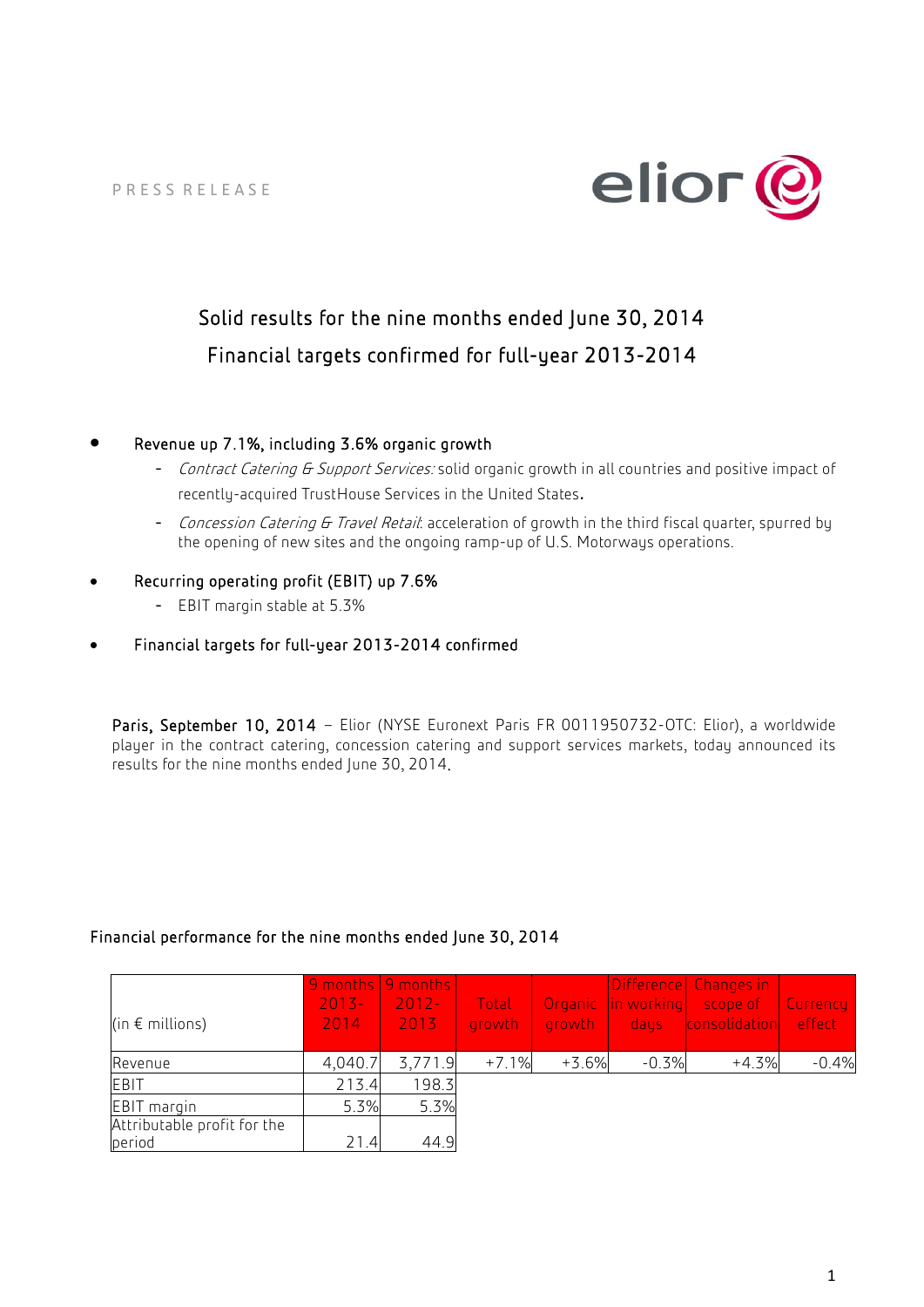

# Solid results for the nine months ended June 30, 2014 Financial targets confirmed for full-year 2013-2014

# • Revenue up 7.1%, including 3.6% organic growth

- Contract Catering G Support Services: solid organic growth in all countries and positive impact of recently-acquired TrustHouse Services in the United States.
- Concession Catering G Travel Retail: acceleration of growth in the third fiscal quarter, spurred by the opening of new sites and the ongoing ramp-up of U.S. Motorways operations.

# • Recurring operating profit (EBIT) up 7.6%

- EBIT margin stable at 5.3%
- Financial targets for full-year 2013-2014 confirmed

Paris, September 10, 2014 - Elior (NYSE Euronext Paris FR 0011950732-OTC: Elior), a worldwide player in the contract catering, concession catering and support services markets, today announced its results for the nine months ended June 30, 2014.

# Financial performance for the nine months ended June 30, 2014

| (in $\epsilon$ millions)              | $2013 -$<br>2014 <sub>1</sub> | 9 months   9 months  <br>$2012 -$<br>2013 | Total<br>growth | growth  |         | Difference Changes in<br><b>Organic</b> in working scope of<br>days consolidation effect | Currency |
|---------------------------------------|-------------------------------|-------------------------------------------|-----------------|---------|---------|------------------------------------------------------------------------------------------|----------|
| Revenue                               | 4,040.7                       | 3,771.9                                   | $+7.1%$         | $+3.6%$ | $-0.3%$ | $+4.3%$                                                                                  | $-0.4%$  |
| EBIT                                  | 213.4                         | 198.3                                     |                 |         |         |                                                                                          |          |
| EBIT margin                           | 5.3%                          | 5.3%                                      |                 |         |         |                                                                                          |          |
| Attributable profit for the<br>period | 21.4                          | 44.9                                      |                 |         |         |                                                                                          |          |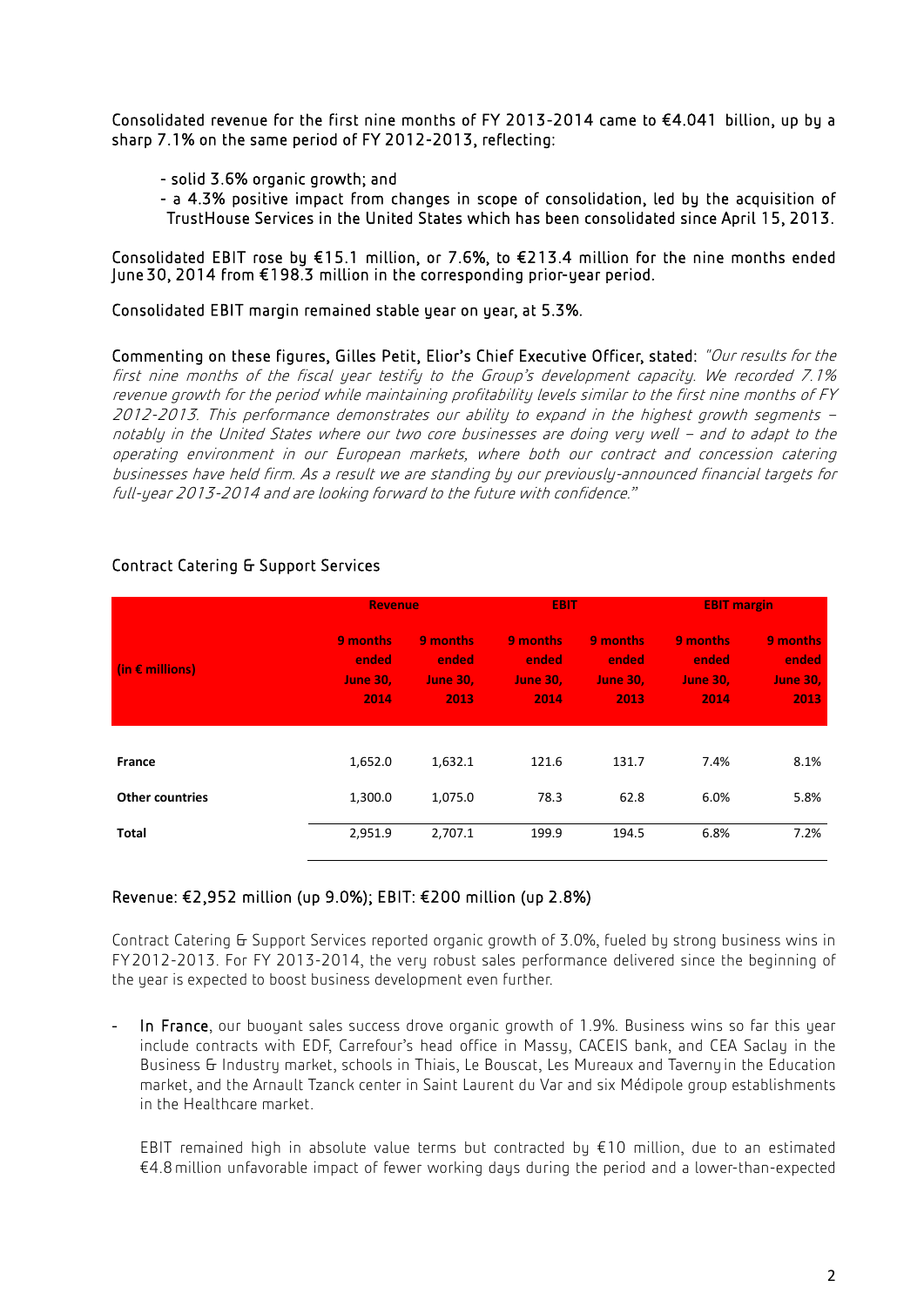Consolidated revenue for the first nine months of FY 2013-2014 came to €4.041 billion, up by a sharp 7.1% on the same period of FY 2012-2013, reflecting:

- solid 3.6% organic growth; and
- a 4.3% positive impact from changes in scope of consolidation, led by the acquisition of TrustHouse Services in the United States which has been consolidated since April 15, 2013.

Consolidated EBIT rose by €15.1 million, or 7.6%, to €213.4 million for the nine months ended June 30, 2014 from €198.3 million in the corresponding prior-year period.

Consolidated EBIT margin remained stable year on year, at 5.3%.

Commenting on these figures, Gilles Petit, Elior's Chief Executive Officer, stated: "Our results for the first nine months of the fiscal year testify to the Group's development capacity. We recorded 7.1% revenue growth for the period while maintaining profitability levels similar to the first nine months of FY 2012-2013. This performance demonstrates our ability to expand in the highest growth segments – notably in the United States where our two core businesses are doing very well – and to adapt to the operating environment in our European markets, where both our contract and concession catering businesses have held firm. As a result we are standing by our previously-announced financial targets for full-year 2013-2014 and are looking forward to the future with confidence."

|                          | <b>Revenue</b>                               |                                              | <b>EBIT</b>                                  |                                              | <b>EBIT margin</b>                           |                                              |
|--------------------------|----------------------------------------------|----------------------------------------------|----------------------------------------------|----------------------------------------------|----------------------------------------------|----------------------------------------------|
| (in $\epsilon$ millions) | 9 months<br>ended<br><b>June 30,</b><br>2014 | 9 months<br>ended<br><b>June 30,</b><br>2013 | 9 months<br>ended<br><b>June 30,</b><br>2014 | 9 months<br>ended<br><b>June 30.</b><br>2013 | 9 months<br>ended<br><b>June 30,</b><br>2014 | 9 months<br>ended<br><b>June 30,</b><br>2013 |
|                          |                                              |                                              |                                              |                                              |                                              |                                              |
| France                   | 1,652.0                                      | 1,632.1                                      | 121.6                                        | 131.7                                        | 7.4%                                         | 8.1%                                         |
| <b>Other countries</b>   | 1,300.0                                      | 1,075.0                                      | 78.3                                         | 62.8                                         | 6.0%                                         | 5.8%                                         |
| Total                    | 2,951.9                                      | 2,707.1                                      | 199.9                                        | 194.5                                        | 6.8%                                         | 7.2%                                         |

# Contract Catering & Support Services

# Revenue: €2,952 million (up 9.0%); EBIT: €200 million (up 2.8%)

Contract Catering & Support Services reported organic growth of 3.0%, fueled by strong business wins in FY2012-2013. For FY 2013-2014, the very robust sales performance delivered since the beginning of the year is expected to boost business development even further.

In France, our buoyant sales success drove organic growth of 1.9%. Business wins so far this year include contracts with EDF, Carrefour's head office in Massy, CACEIS bank, and CEA Saclay in the Business & Industry market, schools in Thiais, Le Bouscat, Les Mureaux and Tavernyin the Education market, and the Arnault Tzanck center in Saint Laurent du Var and six Médipole group establishments in the Healthcare market.

EBIT remained high in absolute value terms but contracted by  $\epsilon$ 10 million, due to an estimated €4.8million unfavorable impact of fewer working days during the period and a lower-than-expected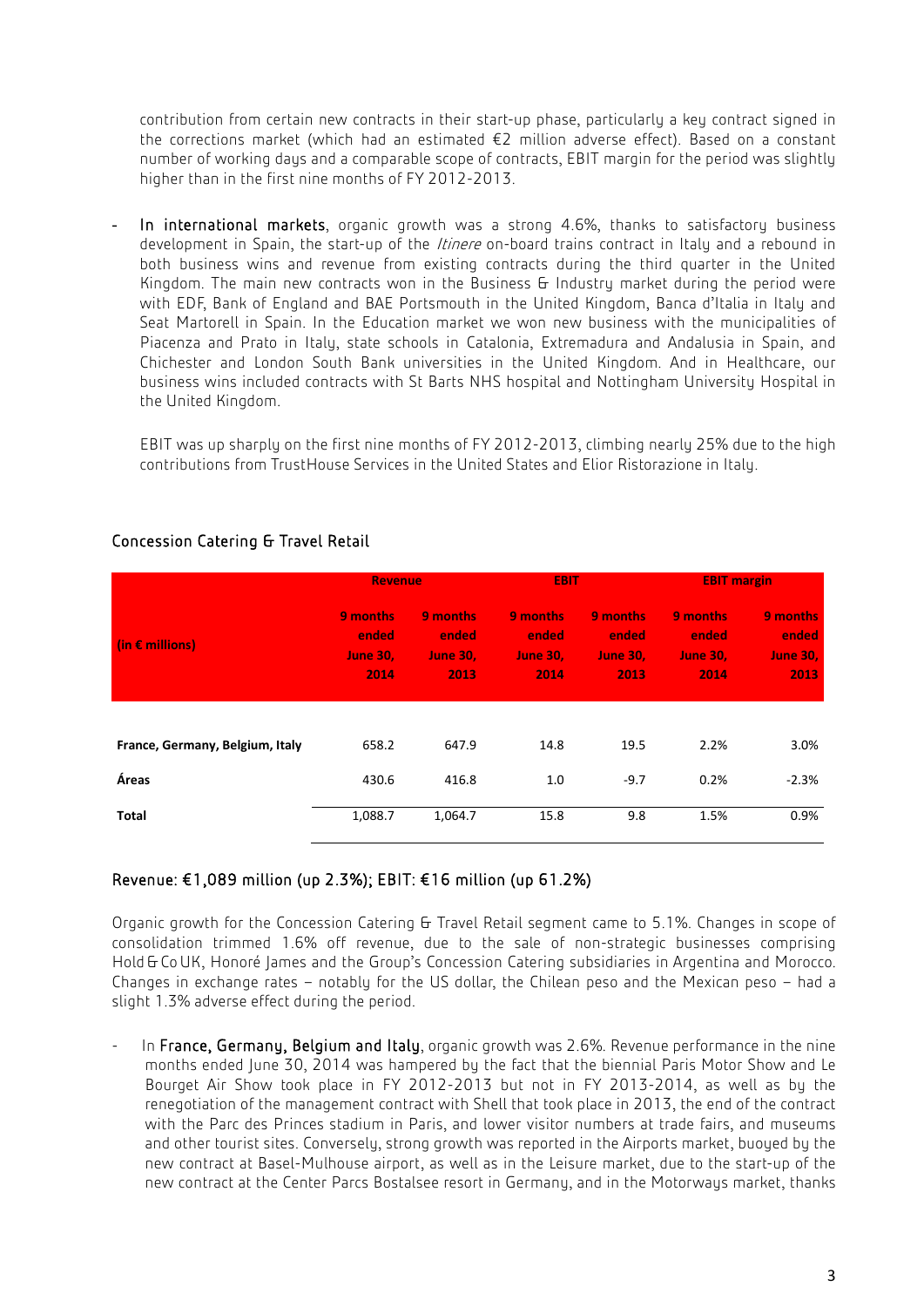contribution from certain new contracts in their start-up phase, particularly a key contract signed in the corrections market (which had an estimated €2 million adverse effect). Based on a constant number of working days and a comparable scope of contracts, EBIT margin for the period was slightly higher than in the first nine months of FY 2012-2013.

In international markets, organic growth was a strong 4.6%, thanks to satisfactory business development in Spain, the start-up of the *Itinere* on-board trains contract in Italy and a rebound in both business wins and revenue from existing contracts during the third quarter in the United Kingdom. The main new contracts won in the Business & Industry market during the period were with EDF, Bank of England and BAE Portsmouth in the United Kingdom, Banca d'Italia in Italy and Seat Martorell in Spain. In the Education market we won new business with the municipalities of Piacenza and Prato in Italy, state schools in Catalonia, Extremadura and Andalusia in Spain, and Chichester and London South Bank universities in the United Kingdom. And in Healthcare, our business wins included contracts with St Barts NHS hospital and Nottingham University Hospital in the United Kingdom.

EBIT was up sharply on the first nine months of FY 2012-2013, climbing nearly 25% due to the high contributions from TrustHouse Services in the United States and Elior Ristorazione in Italy.

|                                 | <b>Revenue</b>                                      |                                              | <b>EBIT</b>                                  |                                              | <b>EBIT margin</b>                           |                                              |
|---------------------------------|-----------------------------------------------------|----------------------------------------------|----------------------------------------------|----------------------------------------------|----------------------------------------------|----------------------------------------------|
| (in $\epsilon$ millions)        | <b>9</b> months<br>ended<br><b>June 30.</b><br>2014 | 9 months<br>ended<br><b>June 30,</b><br>2013 | 9 months<br>ended<br><b>June 30.</b><br>2014 | 9 months<br>ended<br><b>June 30,</b><br>2013 | 9 months<br>ended<br><b>June 30,</b><br>2014 | 9 months<br>ended<br><b>June 30,</b><br>2013 |
|                                 |                                                     |                                              |                                              |                                              |                                              |                                              |
| France, Germany, Belgium, Italy | 658.2                                               | 647.9                                        | 14.8                                         | 19.5                                         | 2.2%                                         | 3.0%                                         |
| Áreas                           | 430.6                                               | 416.8                                        | 1.0                                          | $-9.7$                                       | 0.2%                                         | $-2.3%$                                      |
| Total                           | 1,088.7                                             | 1,064.7                                      | 15.8                                         | 9.8                                          | 1.5%                                         | 0.9%                                         |

# Concession Catering & Travel Retail

# Revenue: €1,089 million (up 2.3%); EBIT: €16 million (up 61.2%)

Organic growth for the Concession Catering & Travel Retail segment came to 5.1%. Changes in scope of consolidation trimmed 1.6% off revenue, due to the sale of non-strategic businesses comprising Hold & CoUK, Honoré James and the Group's Concession Catering subsidiaries in Argentina and Morocco. Changes in exchange rates – notably for the US dollar, the Chilean peso and the Mexican peso – had a slight 1.3% adverse effect during the period.

In France, Germany, Belgium and Italy, organic growth was 2.6%. Revenue performance in the nine months ended June 30, 2014 was hampered by the fact that the biennial Paris Motor Show and Le Bourget Air Show took place in FY 2012-2013 but not in FY 2013-2014, as well as by the renegotiation of the management contract with Shell that took place in 2013, the end of the contract with the Parc des Princes stadium in Paris, and lower visitor numbers at trade fairs, and museums and other tourist sites. Conversely, strong growth was reported in the Airports market, buoyed by the new contract at Basel-Mulhouse airport, as well as in the Leisure market, due to the start-up of the new contract at the Center Parcs Bostalsee resort in Germany, and in the Motorways market, thanks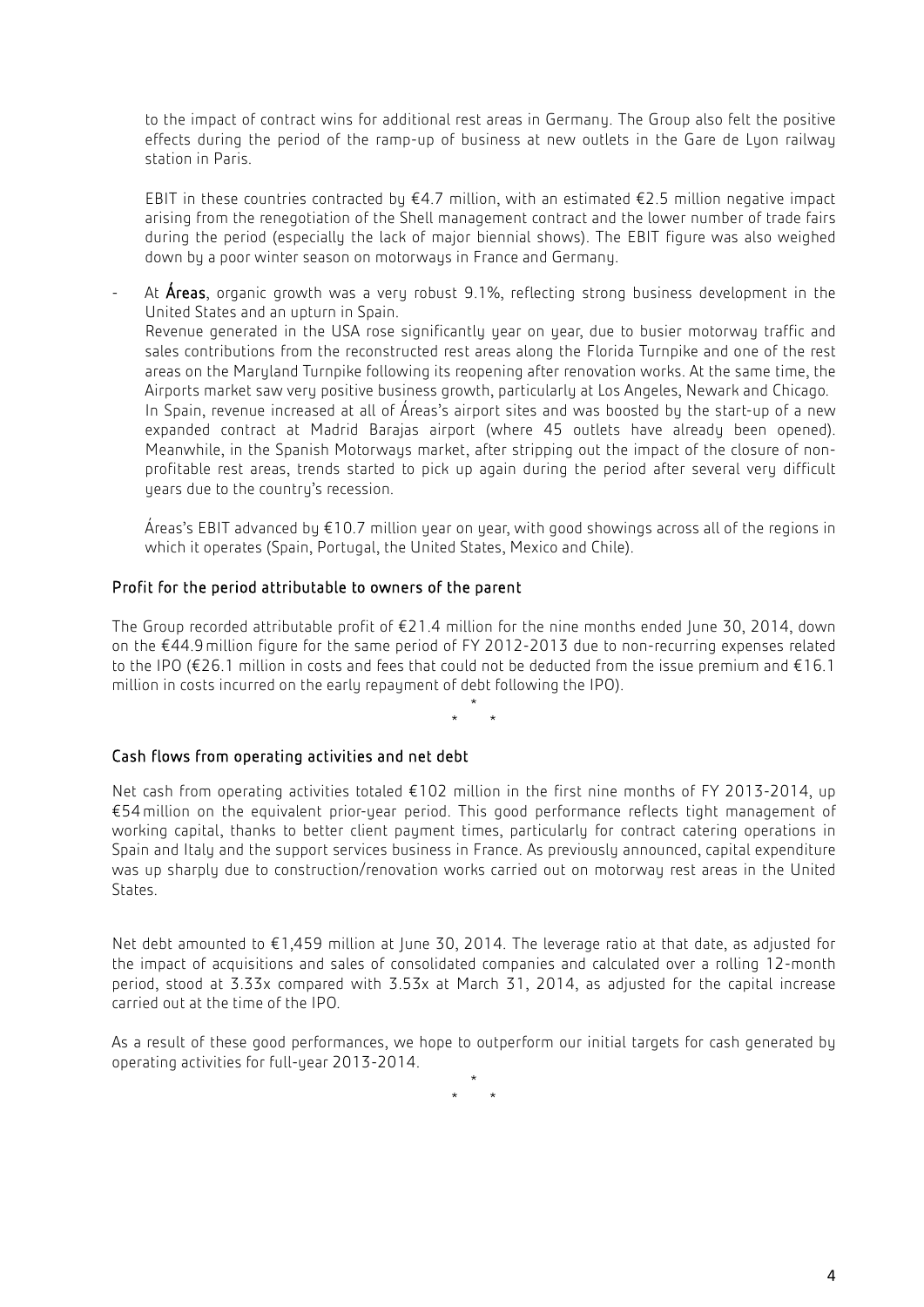to the impact of contract wins for additional rest areas in Germany. The Group also felt the positive effects during the period of the ramp-up of business at new outlets in the Gare de Lyon railway station in Paris.

EBIT in these countries contracted by  $\epsilon$ 4.7 million, with an estimated  $\epsilon$ 2.5 million negative impact arising from the renegotiation of the Shell management contract and the lower number of trade fairs during the period (especially the lack of major biennial shows). The EBIT figure was also weighed down by a poor winter season on motorways in France and Germany.

At **Áreas**, organic growth was a very robust 9.1%, reflecting strong business development in the United States and an upturn in Spain. Revenue generated in the USA rose significantly year on year, due to busier motorway traffic and sales contributions from the reconstructed rest areas along the Florida Turnpike and one of the rest areas on the Maryland Turnpike following its reopening after renovation works. At the same time, the Airports market saw very positive business growth, particularly at Los Angeles, Newark and Chicago. In Spain, revenue increased at all of Áreas's airport sites and was boosted by the start-up of a new expanded contract at Madrid Barajas airport (where 45 outlets have already been opened). Meanwhile, in the Spanish Motorways market, after stripping out the impact of the closure of nonprofitable rest areas, trends started to pick up again during the period after several very difficult years due to the country's recession.

Áreas's EBIT advanced by €10.7 million year on year, with good showings across all of the regions in which it operates (Spain, Portugal, the United States, Mexico and Chile).

# Profit for the period attributable to owners of the parent

The Group recorded attributable profit of €21.4 million for the nine months ended June 30, 2014, down on the €44.9million figure for the same period of FY 2012-2013 due to non-recurring expenses related to the IPO (€26.1 million in costs and fees that could not be deducted from the issue premium and €16.1 million in costs incurred on the early repayment of debt following the IPO).

> \* \* \*

#### Cash flows from operating activities and net debt

Net cash from operating activities totaled €102 million in the first nine months of FY 2013-2014, up €54million on the equivalent prior-year period. This good performance reflects tight management of working capital, thanks to better client payment times, particularly for contract catering operations in Spain and Italy and the support services business in France. As previously announced, capital expenditure was up sharply due to construction/renovation works carried out on motorway rest areas in the United States.

Net debt amounted to €1,459 million at June 30, 2014. The leverage ratio at that date, as adjusted for the impact of acquisitions and sales of consolidated companies and calculated over a rolling 12-month period, stood at 3.33x compared with 3.53x at March 31, 2014, as adjusted for the capital increase carried out at the time of the IPO.

As a result of these good performances, we hope to outperform our initial targets for cash generated by operating activities for full-year 2013-2014.

 $*$  \*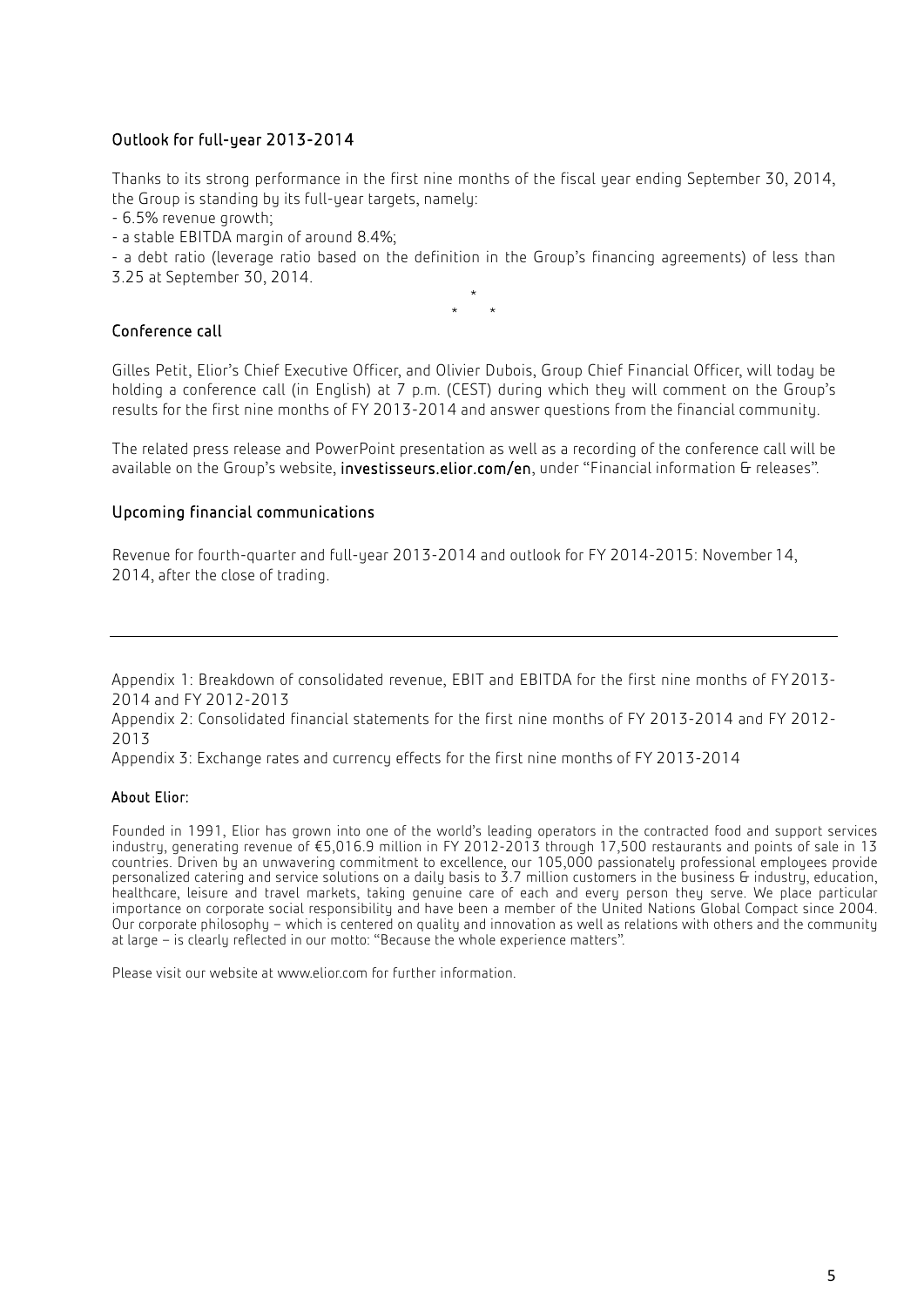# Outlook for full-year 2013-2014

Thanks to its strong performance in the first nine months of the fiscal year ending September 30, 2014, the Group is standing by its full-year targets, namely:

- 6.5% revenue growth;

- a stable EBITDA margin of around 8.4%;

- a debt ratio (leverage ratio based on the definition in the Group's financing agreements) of less than 3.25 at September 30, 2014.

\* \* \*

# Conference call

Gilles Petit, Elior's Chief Executive Officer, and Olivier Dubois, Group Chief Financial Officer, will today be holding a conference call (in English) at 7 p.m. (CEST) during which they will comment on the Group's results for the first nine months of FY 2013-2014 and answer questions from the financial community.

The related press release and PowerPoint presentation as well as a recording of the conference call will be available on the Group's website, investisseurs.elior.com/en, under "Financial information & releases".

#### Upcoming financial communications

Revenue for fourth-quarter and full-year 2013-2014 and outlook for FY 2014-2015: November14, 2014, after the close of trading.

Appendix 1: Breakdown of consolidated revenue, EBIT and EBITDA for the first nine months of FY2013- 2014 and FY 2012-2013

Appendix 2: Consolidated financial statements for the first nine months of FY 2013-2014 and FY 2012- 2013

Appendix 3: Exchange rates and currency effects for the first nine months of FY 2013-2014

#### About Elior:

Founded in 1991, Elior has grown into one of the world's leading operators in the contracted food and support services industry, generating revenue of €5,016.9 million in FY 2012-2013 through 17,500 restaurants and points of sale in 13 countries. Driven by an unwavering commitment to excellence, our 105,000 passionately professional employees provide personalized catering and service solutions on a daily basis to 3.7 million customers in the business & industry, education, healthcare, leisure and travel markets, taking genuine care of each and every person they serve. We place particular importance on corporate social responsibility and have been a member of the United Nations Global Compact since 2004. Our corporate philosophy – which is centered on quality and innovation as well as relations with others and the community at large – is clearly reflected in our motto: "Because the whole experience matters".

Please visit our website a[t www.elior.com](http://www.elior.com/) for further information.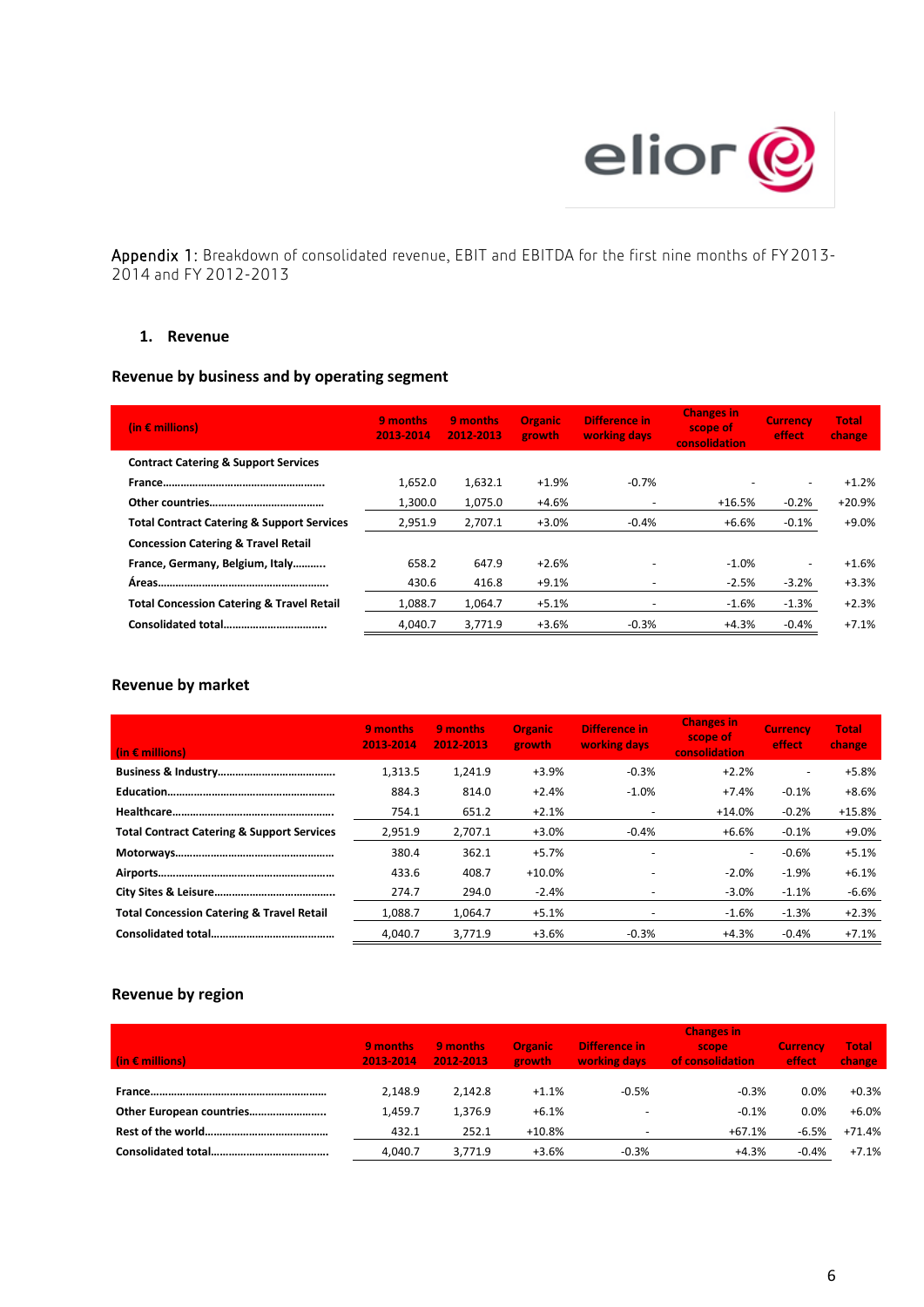

Appendix 1: Breakdown of consolidated revenue, EBIT and EBITDA for the first nine months of FY2013- 2014 and FY 2012-2013

#### **1. Revenue**

# **Revenue by business and by operating segment**

| (in $\epsilon$ millions)                              | 9 months<br>2013-2014 | 9 months<br>2012-2013 | <b>Organic</b><br>growth | Difference in<br>working days | <b>Changes in</b><br>scope of<br>consolidation | <b>Currency</b><br>effect | <b>Total</b><br>change |
|-------------------------------------------------------|-----------------------|-----------------------|--------------------------|-------------------------------|------------------------------------------------|---------------------------|------------------------|
| <b>Contract Catering &amp; Support Services</b>       |                       |                       |                          |                               |                                                |                           |                        |
|                                                       | 1,652.0               | 1,632.1               | $+1.9%$                  | $-0.7%$                       |                                                | ۰                         | $+1.2%$                |
|                                                       | 1,300.0               | 1,075.0               | +4.6%                    |                               | $+16.5%$                                       | $-0.2%$                   | $+20.9%$               |
| <b>Total Contract Catering &amp; Support Services</b> | 2,951.9               | 2,707.1               | $+3.0%$                  | $-0.4%$                       | +6.6%                                          | $-0.1%$                   | +9.0%                  |
| <b>Concession Catering &amp; Travel Retail</b>        |                       |                       |                          |                               |                                                |                           |                        |
| France, Germany, Belgium, Italy                       | 658.2                 | 647.9                 | $+2.6%$                  |                               | $-1.0%$                                        | ٠                         | $+1.6%$                |
|                                                       | 430.6                 | 416.8                 | $+9.1%$                  |                               | $-2.5%$                                        | $-3.2%$                   | $+3.3%$                |
| <b>Total Concession Catering &amp; Travel Retail</b>  | 1,088.7               | 1,064.7               | $+5.1%$                  |                               | $-1.6%$                                        | $-1.3%$                   | $+2.3%$                |
|                                                       | 4,040.7               | 3,771.9               | $+3.6%$                  | $-0.3%$                       | $+4.3%$                                        | $-0.4%$                   | $+7.1%$                |

#### **Revenue by market**

| (in $\epsilon$ millions)                              | 9 months<br>2013-2014 | 9 months<br>2012-2013 | <b>Organic</b><br>growth | Difference in<br>working days | <b>Changes in</b><br>scope of<br>consolidation | <b>Currency</b><br>effect | <b>Total</b><br>change |
|-------------------------------------------------------|-----------------------|-----------------------|--------------------------|-------------------------------|------------------------------------------------|---------------------------|------------------------|
|                                                       | 1,313.5               | 1.241.9               | $+3.9%$                  | $-0.3%$                       | $+2.2%$                                        | $\overline{\phantom{a}}$  | $+5.8%$                |
|                                                       | 884.3                 | 814.0                 | $+2.4%$                  | $-1.0%$                       | $+7.4%$                                        | $-0.1%$                   | +8.6%                  |
|                                                       | 754.1                 | 651.2                 | $+2.1%$                  |                               | $+14.0%$                                       | $-0.2%$                   | $+15.8%$               |
| <b>Total Contract Catering &amp; Support Services</b> | 2,951.9               | 2,707.1               | $+3.0%$                  | $-0.4%$                       | +6.6%                                          | $-0.1%$                   | $+9.0%$                |
|                                                       | 380.4                 | 362.1                 | $+5.7%$                  | $\overline{\phantom{a}}$      | $\overline{\phantom{a}}$                       | $-0.6%$                   | $+5.1%$                |
|                                                       | 433.6                 | 408.7                 | $+10.0%$                 |                               | $-2.0%$                                        | $-1.9%$                   | $+6.1%$                |
|                                                       | 274.7                 | 294.0                 | $-2.4%$                  |                               | $-3.0%$                                        | $-1.1%$                   | $-6.6%$                |
| <b>Total Concession Catering &amp; Travel Retail</b>  | 1,088.7               | 1,064.7               | $+5.1%$                  |                               | $-1.6%$                                        | $-1.3%$                   | $+2.3%$                |
|                                                       | 4.040.7               | 3.771.9               | $+3.6%$                  | $-0.3%$                       | +4.3%                                          | $-0.4%$                   | $+7.1%$                |

# **Revenue by region**

|                          |                       |                       |                                 |                               | <b>Changes in</b>                |                           |                        |
|--------------------------|-----------------------|-----------------------|---------------------------------|-------------------------------|----------------------------------|---------------------------|------------------------|
| (in $\epsilon$ millions) | 9 months<br>2013-2014 | 9 months<br>2012-2013 | <b>Organic</b><br><b>growth</b> | Difference in<br>working days | <b>scope</b><br>of consolidation | <b>Currency</b><br>effect | <b>Total</b><br>change |
|                          |                       |                       |                                 |                               |                                  |                           |                        |
|                          | 2.148.9               | 2.142.8               | $+1.1%$                         | $-0.5%$                       | $-0.3%$                          | $0.0\%$                   | $+0.3%$                |
| Other European countries | 1.459.7               | 1.376.9               | $+6.1%$                         |                               | $-0.1%$                          | 0.0%                      | $+6.0%$                |
|                          | 432.1                 | 252.1                 | $+10.8%$                        |                               | $+67.1%$                         | $-6.5%$                   | $+71.4%$               |
|                          | 4.040.7               | 3.771.9               | $+3.6%$                         | $-0.3%$                       | $+4.3%$                          | $-0.4%$                   | $+7.1%$                |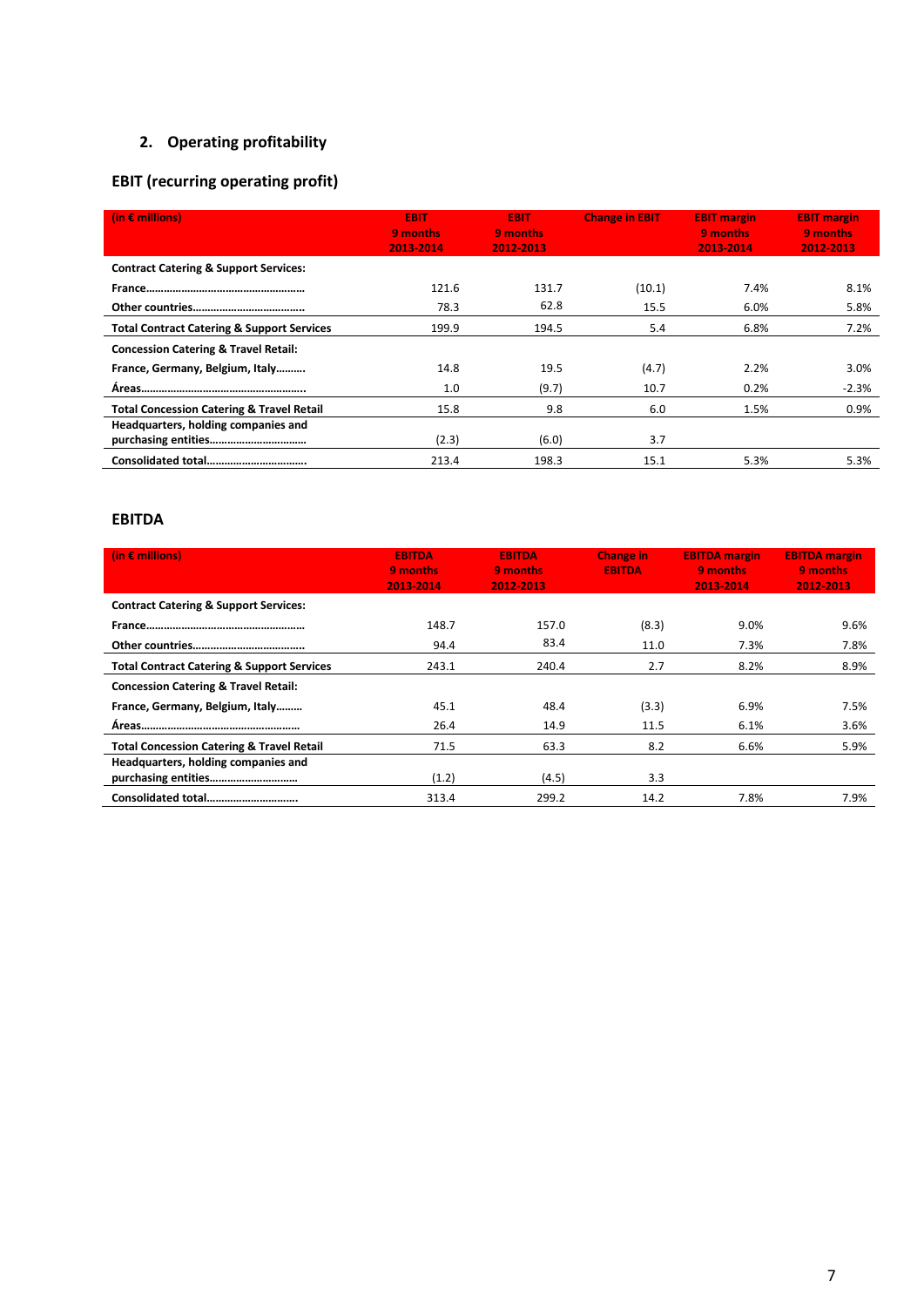# **2. Operating profitability**

# **EBIT (recurring operating profit)**

| (in $\epsilon$ millions)                              | <b>EBIT</b><br>9 months<br>2013-2014 | <b>EBIT</b><br>9 months<br>2012-2013 | <b>Change in EBIT</b> | <b>EBIT margin</b><br>9 months<br>2013-2014 | <b>EBIT margin</b><br>9 months<br>2012-2013 |
|-------------------------------------------------------|--------------------------------------|--------------------------------------|-----------------------|---------------------------------------------|---------------------------------------------|
| <b>Contract Catering &amp; Support Services:</b>      |                                      |                                      |                       |                                             |                                             |
|                                                       | 121.6                                | 131.7                                | (10.1)                | 7.4%                                        | 8.1%                                        |
|                                                       | 78.3                                 | 62.8                                 | 15.5                  | 6.0%                                        | 5.8%                                        |
| <b>Total Contract Catering &amp; Support Services</b> | 199.9                                | 194.5                                | 5.4                   | 6.8%                                        | 7.2%                                        |
| <b>Concession Catering &amp; Travel Retail:</b>       |                                      |                                      |                       |                                             |                                             |
| France, Germany, Belgium, Italy                       | 14.8                                 | 19.5                                 | (4.7)                 | 2.2%                                        | 3.0%                                        |
|                                                       | 1.0                                  | (9.7)                                | 10.7                  | 0.2%                                        | $-2.3%$                                     |
| <b>Total Concession Catering &amp; Travel Retail</b>  | 15.8                                 | 9.8                                  | 6.0                   | 1.5%                                        | 0.9%                                        |
| Headquarters, holding companies and                   |                                      |                                      |                       |                                             |                                             |
|                                                       | (2.3)                                | (6.0)                                | 3.7                   |                                             |                                             |
|                                                       | 213.4                                | 198.3                                | 15.1                  | 5.3%                                        | 5.3%                                        |

# **EBITDA**

| (in $\epsilon$ millions)                              | <b>EBITDA</b><br>9 months<br>2013-2014 | <b>EBITDA</b><br>9 months<br>2012-2013 | <b>Change in</b><br><b>EBITDA</b> | <b>EBITDA margin</b><br>9 months<br>2013-2014 | <b>EBITDA margin</b><br>9 months<br>2012-2013 |
|-------------------------------------------------------|----------------------------------------|----------------------------------------|-----------------------------------|-----------------------------------------------|-----------------------------------------------|
| <b>Contract Catering &amp; Support Services:</b>      |                                        |                                        |                                   |                                               |                                               |
|                                                       | 148.7                                  | 157.0                                  | (8.3)                             | 9.0%                                          | 9.6%                                          |
|                                                       | 94.4                                   | 83.4                                   | 11.0                              | 7.3%                                          | 7.8%                                          |
| <b>Total Contract Catering &amp; Support Services</b> | 243.1                                  | 240.4                                  | 2.7                               | 8.2%                                          | 8.9%                                          |
| <b>Concession Catering &amp; Travel Retail:</b>       |                                        |                                        |                                   |                                               |                                               |
| France, Germany, Belgium, Italy                       | 45.1                                   | 48.4                                   | (3.3)                             | 6.9%                                          | 7.5%                                          |
|                                                       | 26.4                                   | 14.9                                   | 11.5                              | 6.1%                                          | 3.6%                                          |
| <b>Total Concession Catering &amp; Travel Retail</b>  | 71.5                                   | 63.3                                   | 8.2                               | 6.6%                                          | 5.9%                                          |
| Headquarters, holding companies and                   |                                        |                                        |                                   |                                               |                                               |
|                                                       | (1.2)                                  | (4.5)                                  | 3.3                               |                                               |                                               |
| Consolidated total                                    | 313.4                                  | 299.2                                  | 14.2                              | 7.8%                                          | 7.9%                                          |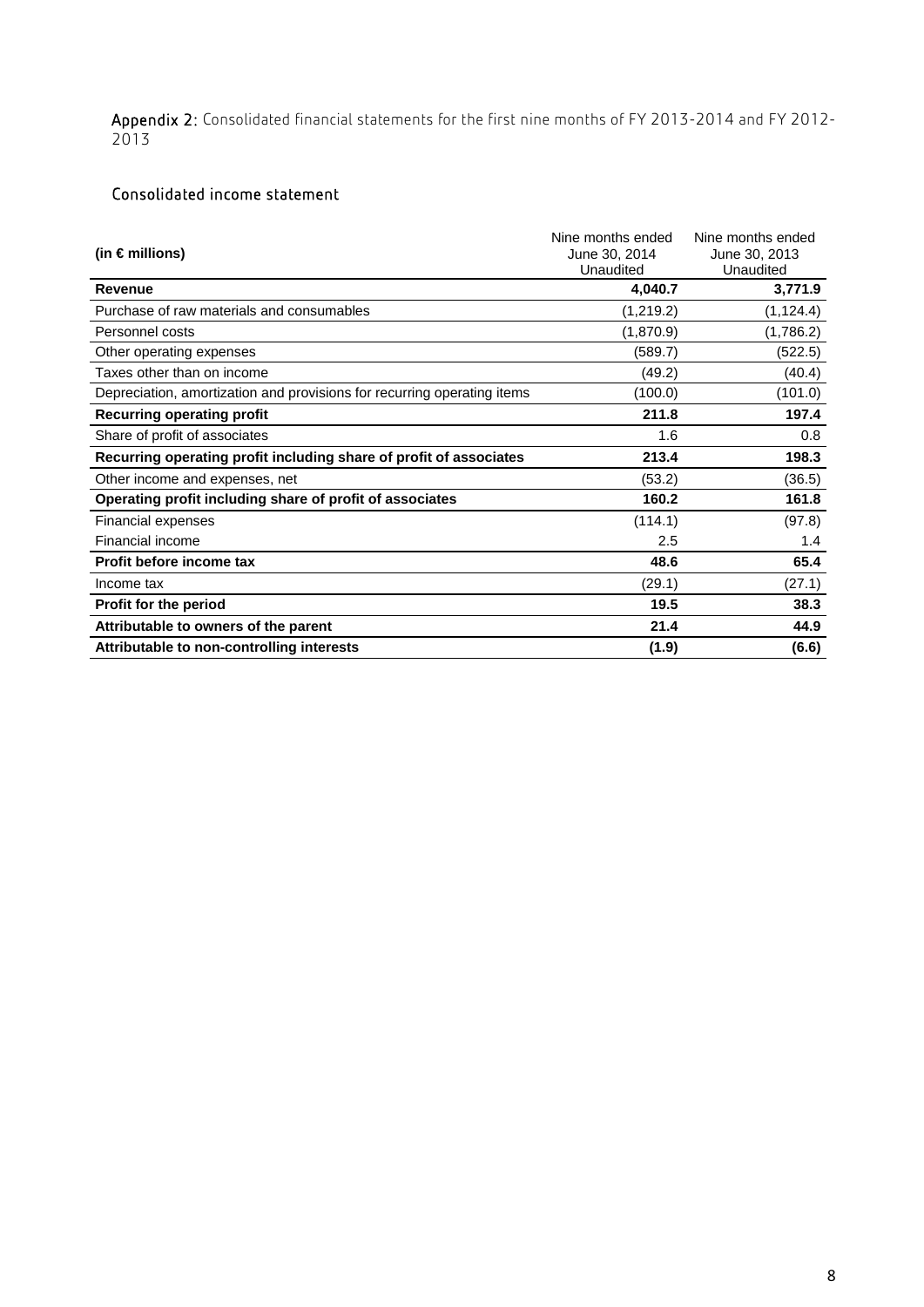Appendix 2: Consolidated financial statements for the first nine months of FY 2013-2014 and FY 2012-2013

# Consolidated income statement

| (in $\epsilon$ millions)                                                | Nine months ended<br>June 30, 2014<br>Unaudited | Nine months ended<br>June 30, 2013<br>Unaudited |
|-------------------------------------------------------------------------|-------------------------------------------------|-------------------------------------------------|
| <b>Revenue</b>                                                          | 4,040.7                                         | 3,771.9                                         |
| Purchase of raw materials and consumables                               | (1,219.2)                                       | (1, 124.4)                                      |
| Personnel costs                                                         | (1,870.9)                                       | (1,786.2)                                       |
| Other operating expenses                                                | (589.7)                                         | (522.5)                                         |
| Taxes other than on income                                              | (49.2)                                          | (40.4)                                          |
| Depreciation, amortization and provisions for recurring operating items | (100.0)                                         | (101.0)                                         |
| <b>Recurring operating profit</b>                                       | 211.8                                           | 197.4                                           |
| Share of profit of associates                                           | 1.6                                             | 0.8                                             |
| Recurring operating profit including share of profit of associates      | 213.4                                           | 198.3                                           |
| Other income and expenses, net                                          | (53.2)                                          | (36.5)                                          |
| Operating profit including share of profit of associates                | 160.2                                           | 161.8                                           |
| <b>Financial expenses</b>                                               | (114.1)                                         | (97.8)                                          |
| Financial income                                                        | 2.5                                             | 1.4                                             |
| Profit before income tax                                                | 48.6                                            | 65.4                                            |
| Income tax                                                              | (29.1)                                          | (27.1)                                          |
| Profit for the period                                                   | 19.5                                            | 38.3                                            |
| Attributable to owners of the parent                                    | 21.4                                            | 44.9                                            |
| Attributable to non-controlling interests                               | (1.9)                                           | (6.6)                                           |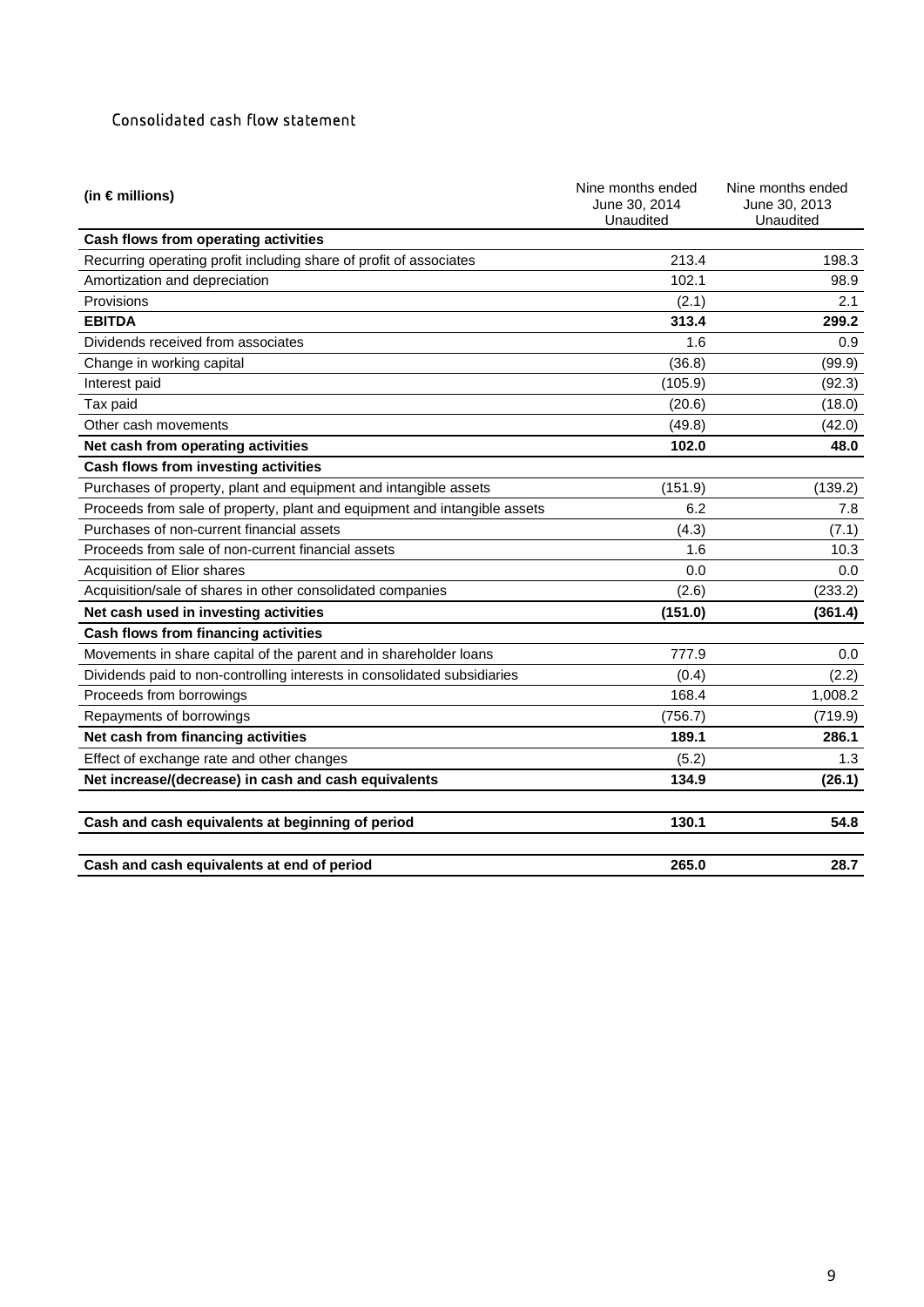# Consolidated cash flow statement

| (in $\epsilon$ millions)                                                  | Nine months ended<br>June 30, 2014<br>Unaudited | Nine months ended<br>June 30, 2013<br>Unaudited |
|---------------------------------------------------------------------------|-------------------------------------------------|-------------------------------------------------|
| Cash flows from operating activities                                      |                                                 |                                                 |
| Recurring operating profit including share of profit of associates        | 213.4                                           | 198.3                                           |
| Amortization and depreciation                                             | 102.1                                           | 98.9                                            |
| Provisions                                                                | (2.1)                                           | 2.1                                             |
| <b>EBITDA</b>                                                             | 313.4                                           | 299.2                                           |
| Dividends received from associates                                        | 1.6                                             | 0.9                                             |
| Change in working capital                                                 | (36.8)                                          | (99.9)                                          |
| Interest paid                                                             | (105.9)                                         | (92.3)                                          |
| Tax paid                                                                  | (20.6)                                          | (18.0)                                          |
| Other cash movements                                                      | (49.8)                                          | (42.0)                                          |
| Net cash from operating activities                                        | 102.0                                           | 48.0                                            |
| Cash flows from investing activities                                      |                                                 |                                                 |
| Purchases of property, plant and equipment and intangible assets          | (151.9)                                         | (139.2)                                         |
| Proceeds from sale of property, plant and equipment and intangible assets | 6.2                                             | 7.8                                             |
| Purchases of non-current financial assets                                 | (4.3)                                           | (7.1)                                           |
| Proceeds from sale of non-current financial assets                        | 1.6                                             | 10.3                                            |
| Acquisition of Elior shares                                               | 0.0                                             | 0.0                                             |
| Acquisition/sale of shares in other consolidated companies                | (2.6)                                           | (233.2)                                         |
| Net cash used in investing activities                                     | (151.0)                                         | (361.4)                                         |
| Cash flows from financing activities                                      |                                                 |                                                 |
| Movements in share capital of the parent and in shareholder loans         | 777.9                                           | 0.0                                             |
| Dividends paid to non-controlling interests in consolidated subsidiaries  | (0.4)                                           | (2.2)                                           |
| Proceeds from borrowings                                                  | 168.4                                           | 1,008.2                                         |
| Repayments of borrowings                                                  | (756.7)                                         | (719.9)                                         |
| Net cash from financing activities                                        | 189.1                                           | 286.1                                           |
| Effect of exchange rate and other changes                                 | (5.2)                                           | 1.3                                             |
| Net increase/(decrease) in cash and cash equivalents                      | 134.9                                           | (26.1)                                          |
| Cash and cash equivalents at beginning of period                          | 130.1                                           | 54.8                                            |
| Cash and cash equivalents at end of period                                | 265.0                                           | 28.7                                            |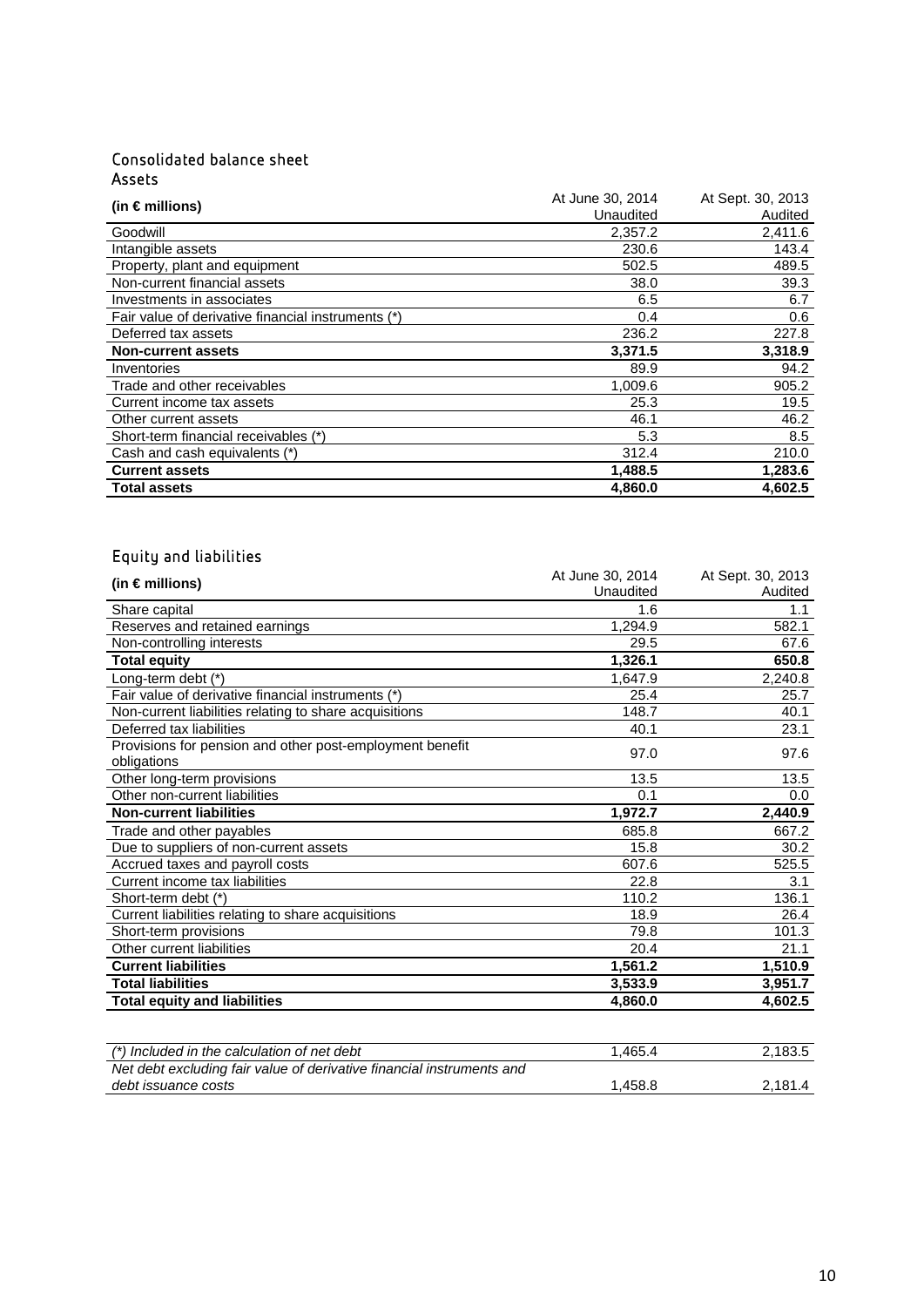# Consolidated balance sheet Assets

| (in $\epsilon$ millions)                           | At June 30, 2014 | At Sept. 30, 2013 |
|----------------------------------------------------|------------------|-------------------|
|                                                    | Unaudited        | Audited           |
| Goodwill                                           | 2,357.2          | 2,411.6           |
| Intangible assets                                  | 230.6            | 143.4             |
| Property, plant and equipment                      | 502.5            | 489.5             |
| Non-current financial assets                       | 38.0             | 39.3              |
| Investments in associates                          | 6.5              | 6.7               |
| Fair value of derivative financial instruments (*) | 0.4              | 0.6               |
| Deferred tax assets                                | 236.2            | 227.8             |
| <b>Non-current assets</b>                          | 3,371.5          | 3,318.9           |
| Inventories                                        | 89.9             | 94.2              |
| Trade and other receivables                        | 1,009.6          | 905.2             |
| Current income tax assets                          | 25.3             | 19.5              |
| Other current assets                               | 46.1             | 46.2              |
| Short-term financial receivables (*)               | 5.3              | 8.5               |
| Cash and cash equivalents (*)                      | 312.4            | 210.0             |
| <b>Current assets</b>                              | 1,488.5          | 1,283.6           |
| <b>Total assets</b>                                | 4.860.0          | 4,602.5           |

# Equity and liabilities

| (in $\epsilon$ millions)                                 | At June 30, 2014 | At Sept. 30, 2013 |
|----------------------------------------------------------|------------------|-------------------|
|                                                          | Unaudited        | Audited           |
| Share capital                                            | 1.6              | 1.1               |
| Reserves and retained earnings                           | 1,294.9          | 582.1             |
| Non-controlling interests                                | 29.5             | 67.6              |
| <b>Total equity</b>                                      | 1,326.1          | 650.8             |
| Long-term debt (*)                                       | 1.647.9          | 2,240.8           |
| Fair value of derivative financial instruments (*)       | 25.4             | 25.7              |
| Non-current liabilities relating to share acquisitions   | 148.7            | 40.1              |
| Deferred tax liabilities                                 | 40.1             | 23.1              |
| Provisions for pension and other post-employment benefit | 97.0             | 97.6              |
| obligations                                              |                  |                   |
| Other long-term provisions                               | 13.5             | 13.5              |
| Other non-current liabilities                            | 0.1              | 0.0               |
| <b>Non-current liabilities</b>                           | 1,972.7          | 2,440.9           |
| Trade and other payables                                 | 685.8            | 667.2             |
| Due to suppliers of non-current assets                   | 15.8             | 30.2              |
| Accrued taxes and payroll costs                          | 607.6            | 525.5             |
| Current income tax liabilities                           | 22.8             | 3.1               |
| Short-term debt (*)                                      | 110.2            | 136.1             |
| Current liabilities relating to share acquisitions       | 18.9             | 26.4              |
| Short-term provisions                                    | 79.8             | 101.3             |
| Other current liabilities                                | 20.4             | 21.1              |
| <b>Current liabilities</b>                               | 1,561.2          | 1,510.9           |
| <b>Total liabilities</b>                                 | 3,533.9          | 3,951.7           |
| <b>Total equity and liabilities</b>                      | 4,860.0          | 4,602.5           |
|                                                          |                  |                   |
|                                                          |                  |                   |
|                                                          | $\overline{1}$   | 0.100E            |

| (*) Included in the calculation of net debt                           | .465.4  | 2.183.5 |
|-----------------------------------------------------------------------|---------|---------|
| Net debt excluding fair value of derivative financial instruments and |         |         |
| debt issuance costs                                                   | 1.458.8 | 2.181.4 |
|                                                                       |         |         |